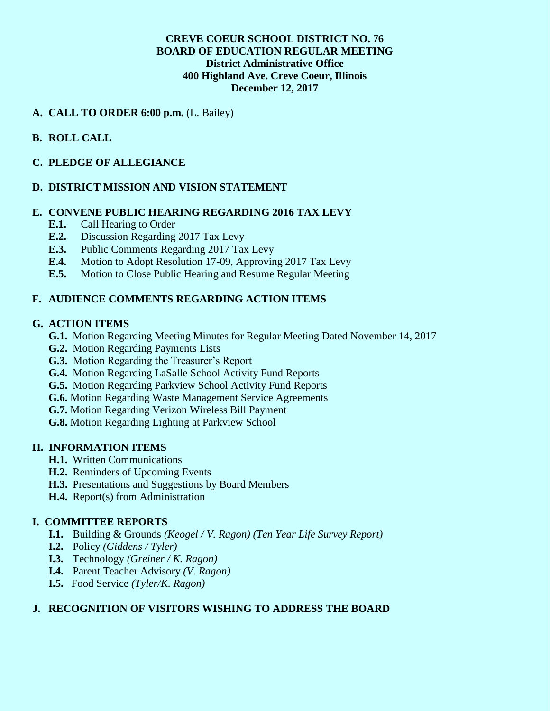### **CREVE COEUR SCHOOL DISTRICT NO. 76 BOARD OF EDUCATION REGULAR MEETING District Administrative Office 400 Highland Ave. Creve Coeur, Illinois December 12, 2017**

## **A. CALL TO ORDER 6:00 p.m.** (L. Bailey)

## **B. ROLL CALL**

### **C. PLEDGE OF ALLEGIANCE**

## **D. DISTRICT MISSION AND VISION STATEMENT**

#### **E. CONVENE PUBLIC HEARING REGARDING 2016 TAX LEVY**

- **E.1.** Call Hearing to Order
- **E.2.** Discussion Regarding 2017 Tax Levy
- **E.3.** Public Comments Regarding 2017 Tax Levy
- **E.4.** Motion to Adopt Resolution 17-09, Approving 2017 Tax Levy
- **E.5.** Motion to Close Public Hearing and Resume Regular Meeting

## **F. AUDIENCE COMMENTS REGARDING ACTION ITEMS**

### **G. ACTION ITEMS**

- **G.1.** Motion Regarding Meeting Minutes for Regular Meeting Dated November 14, 2017
- **G.2.** Motion Regarding Payments Lists
- **G.3.** Motion Regarding the Treasurer's Report
- **G.4.** Motion Regarding LaSalle School Activity Fund Reports
- **G.5.** Motion Regarding Parkview School Activity Fund Reports
- **G.6.** Motion Regarding Waste Management Service Agreements
- **G.7.** Motion Regarding Verizon Wireless Bill Payment
- **G.8.** Motion Regarding Lighting at Parkview School

#### **H. INFORMATION ITEMS**

- **H.1.** Written Communications
- **H.2.** Reminders of Upcoming Events
- **H.3.** Presentations and Suggestions by Board Members
- **H.4.** Report(s) from Administration

## **I. COMMITTEE REPORTS**

- **I.1.** Building & Grounds *(Keogel / V. Ragon) (Ten Year Life Survey Report)*
- **I.2.** Policy *(Giddens / Tyler)*
- **I.3.** Technology *(Greiner / K. Ragon)*
- **I.4.** Parent Teacher Advisory *(V. Ragon)*
- **I.5.** Food Service *(Tyler/K. Ragon)*

## **J. RECOGNITION OF VISITORS WISHING TO ADDRESS THE BOARD**